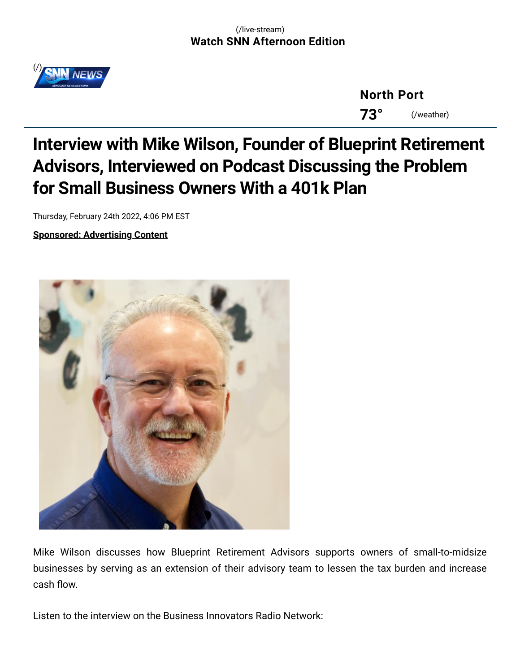

**[North](https://www.snntv.com/weather) Port 73°** (/weather)

## **Interview with Mike Wilson, Founder of Blueprint Retirement Advisors, Interviewed on Podcast Discussing the Problem for Small Business Owners With a 401k Plan**

Thursday, February 24th 2022, 4:06 PM EST

**Sponsored: Advertising Content**



Mike Wilson discusses how Blueprint Retirement Advisors supports owners of small-to-midsize businesses by serving as an extension of their advisory team to lessen the tax burden and increase cash flow.

Listen to the interview on the Business Innovators Radio Network: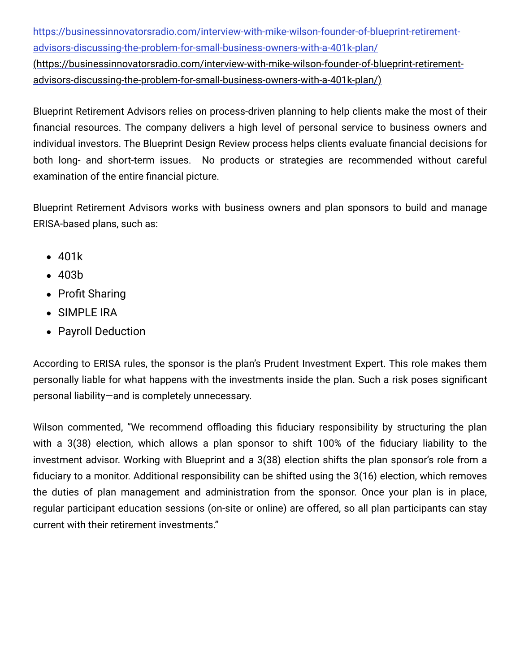https://businessinnovatorsradio.com/interview-with-mike-wilson-founder-of-blueprint-retirementadvisors-discussing-the-problem-for-small-business-owners-with-a-401k-plan/ [\(https://businessinnovatorsradio.com/interview-with-mike-wilson-founder-of-blueprint-retirement](https://businessinnovatorsradio.com/interview-with-mike-wilson-founder-of-blueprint-retirement-advisors-discussing-the-problem-for-small-business-owners-with-a-401k-plan/)advisors-discussing-the-problem-for-small-business-owners-with-a-401k-plan/)

Blueprint Retirement Advisors relies on process-driven planning to help clients make the most of their financial resources. The company delivers a high level of personal service to business owners and individual investors. The Blueprint Design Review process helps clients evaluate financial decisions for both long- and short-term issues. No products or strategies are recommended without careful examination of the entire financial picture.

Blueprint Retirement Advisors works with business owners and plan sponsors to build and manage ERISA-based plans, such as:

- 401k
- 403b
- Profit Sharing
- SIMPLE IRA
- Payroll Deduction

According to ERISA rules, the sponsor is the plan's Prudent Investment Expert. This role makes them personally liable for what happens with the investments inside the plan. Such a risk poses significant personal liability—and is completely unnecessary.

Wilson commented, "We recommend offloading this fiduciary responsibility by structuring the plan with a 3(38) election, which allows a plan sponsor to shift 100% of the fiduciary liability to the investment advisor. Working with Blueprint and a 3(38) election shifts the plan sponsor's role from a fiduciary to a monitor. Additional responsibility can be shifted using the 3(16) election, which removes the duties of plan management and administration from the sponsor. Once your plan is in place, regular participant education sessions (on-site or online) are offered, so all plan participants can stay current with their retirement investments."